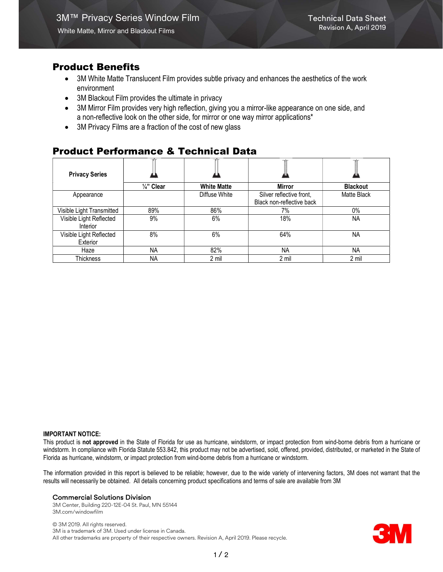## Product Benefits

- 3M White Matte Translucent Film provides subtle privacy and enhances the aesthetics of the work environment
- 3M Blackout Film provides the ultimate in privacy
- 3M Mirror Film provides very high reflection, giving you a mirror-like appearance on one side, and a non-reflective look on the other side, for mirror or one way mirror applications\*
- 3M Privacy Films are a fraction of the cost of new glass

# Product Performance & Technical Data

| <b>Privacy Series</b>               |                       |                    |                           |                 |
|-------------------------------------|-----------------------|--------------------|---------------------------|-----------------|
|                                     | $\frac{1}{4}$ " Clear | <b>White Matte</b> | <b>Mirror</b>             | <b>Blackout</b> |
| Appearance                          |                       | Diffuse White      | Silver reflective front,  | Matte Black     |
|                                     |                       |                    | Black non-reflective back |                 |
| Visible Light Transmitted           | 89%                   | 86%                | 7%                        | $0\%$           |
| Visible Light Reflected<br>Interior | 9%                    | 6%                 | 18%                       | <b>NA</b>       |
| Visible Light Reflected<br>Exterior | 8%                    | 6%                 | 64%                       | NA.             |
| Haze                                | <b>NA</b>             | 82%                | <b>NA</b>                 | <b>NA</b>       |
| Thickness                           | ΝA                    | 2 mil              | 2 mil                     | 2 mil           |

#### IMPORTANT NOTICE:

This product is not approved in the State of Florida for use as hurricane, windstorm, or impact protection from wind-borne debris from a hurricane or windstorm. In compliance with Florida Statute 553.842, this product may not be advertised, sold, offered, provided, distributed, or marketed in the State of Florida as hurricane, windstorm, or impact protection from wind-borne debris from a hurricane or windstorm.

The information provided in this report is believed to be reliable; however, due to the wide variety of intervening factors, 3M does not warrant that the results will necessarily be obtained. All details concerning product specifications and terms of sale are available from 3M

#### Commercial Solutions Division

3M Center, Building 220-12E-04 St. Paul, MN 55144 3M.com/windowfilm

© 3M 2019. All rights reserved. 3M is a trademark of 3M. Used under license in Canada. All other trademarks are property of their respective owners. Revision A, April 2019. Please recycle.